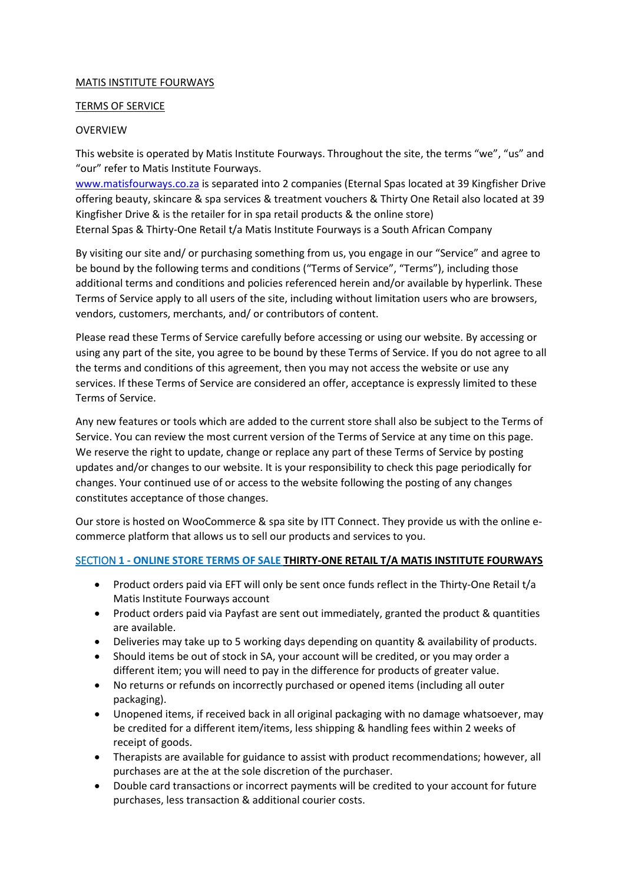## MATIS INSTITUTE FOURWAYS

## TERMS OF SERVICE

## OVERVIEW

This website is operated by Matis Institute Fourways. Throughout the site, the terms "we", "us" and "our" refer to Matis Institute Fourways.

[www.matisfourways.co.za](http://www.matisfourways.co.za/) is separated into 2 companies (Eternal Spas located at 39 Kingfisher Drive offering beauty, skincare & spa services & treatment vouchers & Thirty One Retail also located at 39 Kingfisher Drive & is the retailer for in spa retail products & the online store) Eternal Spas & Thirty-One Retail t/a Matis Institute Fourways is a South African Company

By visiting our site and/ or purchasing something from us, you engage in our "Service" and agree to be bound by the following terms and conditions ("Terms of Service", "Terms"), including those additional terms and conditions and policies referenced herein and/or available by hyperlink. These Terms of Service apply to all users of the site, including without limitation users who are browsers, vendors, customers, merchants, and/ or contributors of content.

Please read these Terms of Service carefully before accessing or using our website. By accessing or using any part of the site, you agree to be bound by these Terms of Service. If you do not agree to all the terms and conditions of this agreement, then you may not access the website or use any services. If these Terms of Service are considered an offer, acceptance is expressly limited to these Terms of Service.

Any new features or tools which are added to the current store shall also be subject to the Terms of Service. You can review the most current version of the Terms of Service at any time on this page. We reserve the right to update, change or replace any part of these Terms of Service by posting updates and/or changes to our website. It is your responsibility to check this page periodically for changes. Your continued use of or access to the website following the posting of any changes constitutes acceptance of those changes.

Our store is hosted on WooCommerce & spa site by ITT Connect. They provide us with the online ecommerce platform that allows us to sell our products and services to you.

# SECTION **1 - ONLINE STORE TERMS OF SALE THIRTY-ONE RETAIL T/A MATIS INSTITUTE FOURWAYS**

- Product orders paid via EFT will only be sent once funds reflect in the Thirty-One Retail t/a Matis Institute Fourways account
- Product orders paid via Payfast are sent out immediately, granted the product & quantities are available.
- Deliveries may take up to 5 working days depending on quantity & availability of products.
- Should items be out of stock in SA, your account will be credited, or you may order a different item; you will need to pay in the difference for products of greater value.
- No returns or refunds on incorrectly purchased or opened items (including all outer packaging).
- Unopened items, if received back in all original packaging with no damage whatsoever, may be credited for a different item/items, less shipping & handling fees within 2 weeks of receipt of goods.
- Therapists are available for guidance to assist with product recommendations; however, all purchases are at the at the sole discretion of the purchaser.
- Double card transactions or incorrect payments will be credited to your account for future purchases, less transaction & additional courier costs.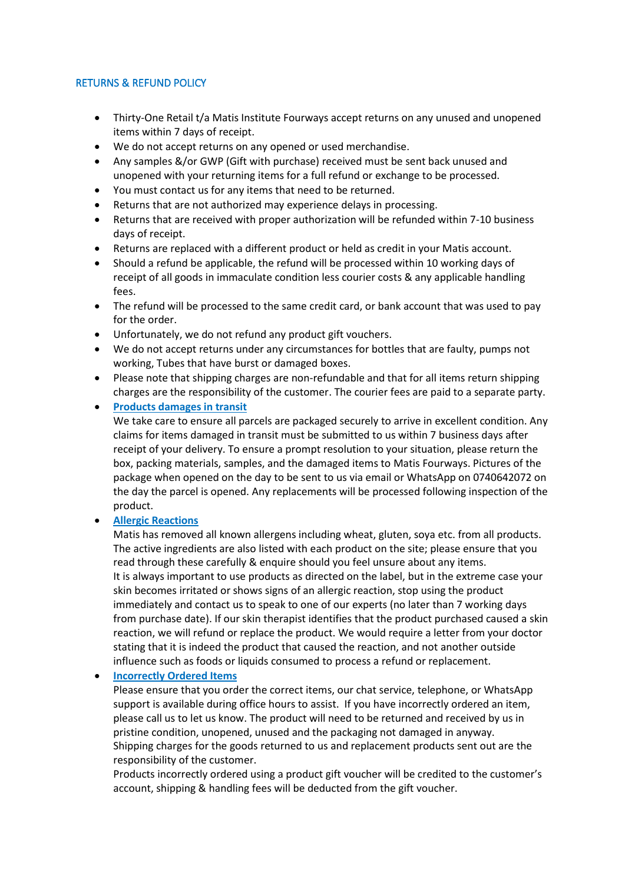## RETURNS & REFUND POLICY

- Thirty-One Retail t/a Matis Institute Fourways accept returns on any unused and unopened items within 7 days of receipt.
- We do not accept returns on any opened or used merchandise.
- Any samples &/or GWP (Gift with purchase) received must be sent back unused and unopened with your returning items for a full refund or exchange to be processed.
- You must contact us for any items that need to be returned.
- Returns that are not authorized may experience delays in processing.
- Returns that are received with proper authorization will be refunded within 7-10 business days of receipt.
- Returns are replaced with a different product or held as credit in your Matis account.
- Should a refund be applicable, the refund will be processed within 10 working days of receipt of all goods in immaculate condition less courier costs & any applicable handling fees.
- The refund will be processed to the same credit card, or bank account that was used to pay for the order.
- Unfortunately, we do not refund any product gift vouchers.
- We do not accept returns under any circumstances for bottles that are faulty, pumps not working, Tubes that have burst or damaged boxes.
- Please note that shipping charges are non-refundable and that for all items return shipping charges are the responsibility of the customer. The courier fees are paid to a separate party.

• **Products damages in transit**

We take care to ensure all parcels are packaged securely to arrive in excellent condition. Any claims for items damaged in transit must be submitted to us within 7 business days after receipt of your delivery. To ensure a prompt resolution to your situation, please return the box, packing materials, samples, and the damaged items to Matis Fourways. Pictures of the package when opened on the day to be sent to us via email or WhatsApp on 0740642072 on the day the parcel is opened. Any replacements will be processed following inspection of the product.

#### • **Allergic Reactions**

Matis has removed all known allergens including wheat, gluten, soya etc. from all products. The active ingredients are also listed with each product on the site; please ensure that you read through these carefully & enquire should you feel unsure about any items. It is always important to use products as directed on the label, but in the extreme case your skin becomes irritated or shows signs of an allergic reaction, stop using the product immediately and contact us to speak to one of our experts (no later than 7 working days from purchase date). If our skin therapist identifies that the product purchased caused a skin reaction, we will refund or replace the product. We would require a letter from your doctor stating that it is indeed the product that caused the reaction, and not another outside influence such as foods or liquids consumed to process a refund or replacement.

# • **Incorrectly Ordered Items**

Please ensure that you order the correct items, our chat service, telephone, or WhatsApp support is available during office hours to assist. If you have incorrectly ordered an item, please call us to let us know. The product will need to be returned and received by us in pristine condition, unopened, unused and the packaging not damaged in anyway. Shipping charges for the goods returned to us and replacement products sent out are the responsibility of the customer.

Products incorrectly ordered using a product gift voucher will be credited to the customer's account, shipping & handling fees will be deducted from the gift voucher.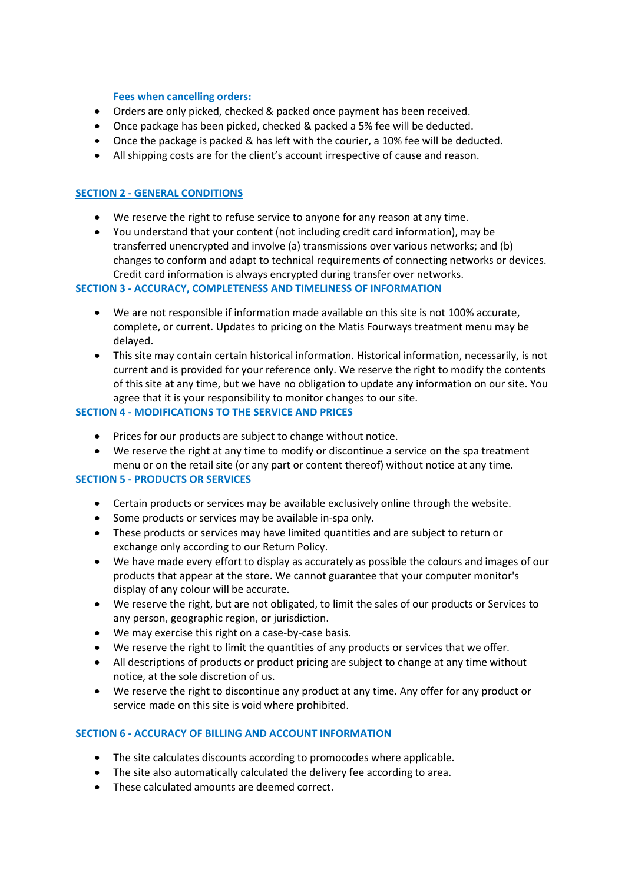**Fees when cancelling orders:**

- Orders are only picked, checked & packed once payment has been received.
- Once package has been picked, checked & packed a 5% fee will be deducted.
- Once the package is packed & has left with the courier, a 10% fee will be deducted.
- All shipping costs are for the client's account irrespective of cause and reason.

# **SECTION 2 - GENERAL CONDITIONS**

- We reserve the right to refuse service to anyone for any reason at any time.
- You understand that your content (not including credit card information), may be transferred unencrypted and involve (a) transmissions over various networks; and (b) changes to conform and adapt to technical requirements of connecting networks or devices. Credit card information is always encrypted during transfer over networks.

## **SECTION 3 - ACCURACY, COMPLETENESS AND TIMELINESS OF INFORMATION**

- We are not responsible if information made available on this site is not 100% accurate, complete, or current. Updates to pricing on the Matis Fourways treatment menu may be delayed.
- This site may contain certain historical information. Historical information, necessarily, is not current and is provided for your reference only. We reserve the right to modify the contents of this site at any time, but we have no obligation to update any information on our site. You agree that it is your responsibility to monitor changes to our site.

## **SECTION 4 - MODIFICATIONS TO THE SERVICE AND PRICES**

- Prices for our products are subject to change without notice.
- We reserve the right at any time to modify or discontinue a service on the spa treatment menu or on the retail site (or any part or content thereof) without notice at any time.

#### **SECTION 5 - PRODUCTS OR SERVICES**

- Certain products or services may be available exclusively online through the website.
- Some products or services may be available in-spa only.
- These products or services may have limited quantities and are subject to return or exchange only according to our Return Policy.
- We have made every effort to display as accurately as possible the colours and images of our products that appear at the store. We cannot guarantee that your computer monitor's display of any colour will be accurate.
- We reserve the right, but are not obligated, to limit the sales of our products or Services to any person, geographic region, or jurisdiction.
- We may exercise this right on a case-by-case basis.
- We reserve the right to limit the quantities of any products or services that we offer.
- All descriptions of products or product pricing are subject to change at any time without notice, at the sole discretion of us.
- We reserve the right to discontinue any product at any time. Any offer for any product or service made on this site is void where prohibited.

#### **SECTION 6 - ACCURACY OF BILLING AND ACCOUNT INFORMATION**

- The site calculates discounts according to promocodes where applicable.
- The site also automatically calculated the delivery fee according to area.
- These calculated amounts are deemed correct.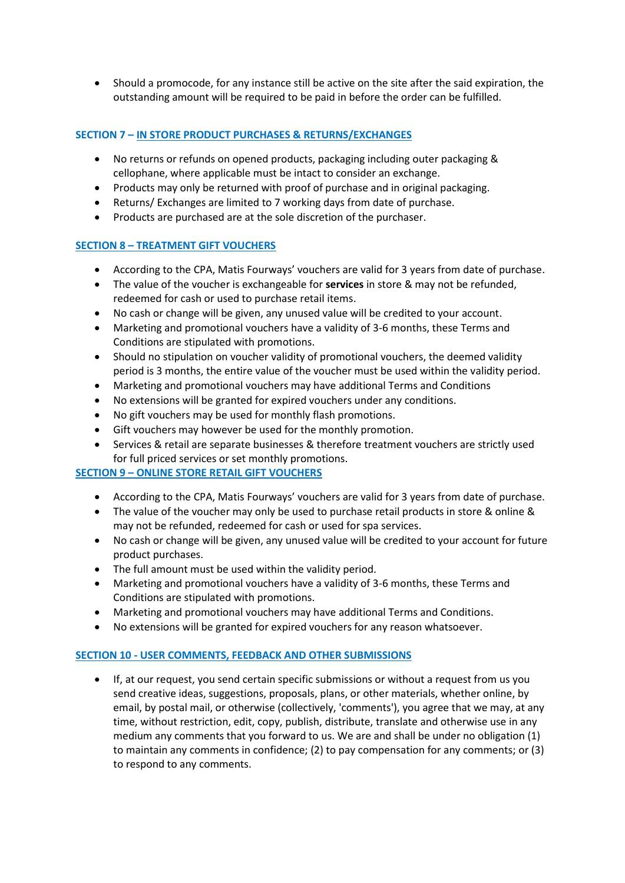• Should a promocode, for any instance still be active on the site after the said expiration, the outstanding amount will be required to be paid in before the order can be fulfilled.

## **SECTION 7 – IN STORE PRODUCT PURCHASES & RETURNS/EXCHANGES**

- No returns or refunds on opened products, packaging including outer packaging & cellophane, where applicable must be intact to consider an exchange.
- Products may only be returned with proof of purchase and in original packaging.
- Returns/ Exchanges are limited to 7 working days from date of purchase.
- Products are purchased are at the sole discretion of the purchaser.

# **SECTION 8 – TREATMENT GIFT VOUCHERS**

- According to the CPA, Matis Fourways' vouchers are valid for 3 years from date of purchase.
- The value of the voucher is exchangeable for **services** in store & may not be refunded, redeemed for cash or used to purchase retail items.
- No cash or change will be given, any unused value will be credited to your account.
- Marketing and promotional vouchers have a validity of 3-6 months, these Terms and Conditions are stipulated with promotions.
- Should no stipulation on voucher validity of promotional vouchers, the deemed validity period is 3 months, the entire value of the voucher must be used within the validity period.
- Marketing and promotional vouchers may have additional Terms and Conditions
- No extensions will be granted for expired vouchers under any conditions.
- No gift vouchers may be used for monthly flash promotions.
- Gift vouchers may however be used for the monthly promotion.
- Services & retail are separate businesses & therefore treatment vouchers are strictly used for full priced services or set monthly promotions.

# **SECTION 9 – ONLINE STORE RETAIL GIFT VOUCHERS**

- According to the CPA, Matis Fourways' vouchers are valid for 3 years from date of purchase.
- The value of the voucher may only be used to purchase retail products in store & online & may not be refunded, redeemed for cash or used for spa services.
- No cash or change will be given, any unused value will be credited to your account for future product purchases.
- The full amount must be used within the validity period.
- Marketing and promotional vouchers have a validity of 3-6 months, these Terms and Conditions are stipulated with promotions.
- Marketing and promotional vouchers may have additional Terms and Conditions.
- No extensions will be granted for expired vouchers for any reason whatsoever.

# **SECTION 10 - USER COMMENTS, FEEDBACK AND OTHER SUBMISSIONS**

• If, at our request, you send certain specific submissions or without a request from us you send creative ideas, suggestions, proposals, plans, or other materials, whether online, by email, by postal mail, or otherwise (collectively, 'comments'), you agree that we may, at any time, without restriction, edit, copy, publish, distribute, translate and otherwise use in any medium any comments that you forward to us. We are and shall be under no obligation (1) to maintain any comments in confidence; (2) to pay compensation for any comments; or (3) to respond to any comments.